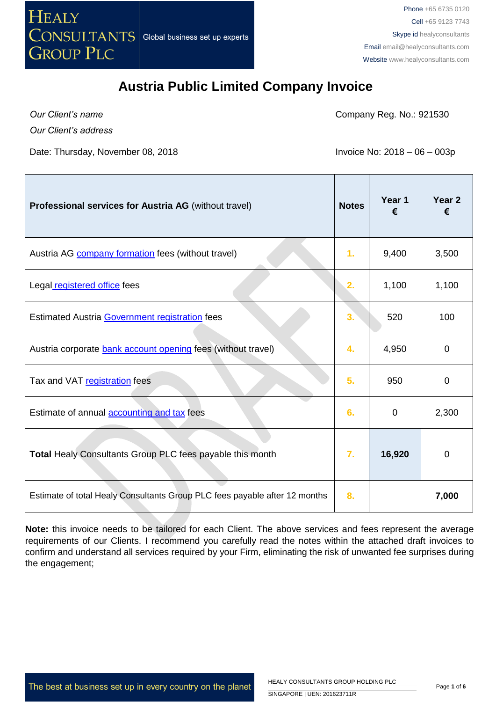

*Our Client's name*

Company Reg. No.: 921530

*Our Client's address*

Date: Thursday, November 08, 2018 **Invoice No: 2018** - 06 – 003p

| <b>Professional services for Austria AG</b> (without travel)               | <b>Notes</b> | Year 1<br>€ | Year <sub>2</sub><br>€ |
|----------------------------------------------------------------------------|--------------|-------------|------------------------|
| Austria AG <b>company formation</b> fees (without travel)                  | 1.           | 9,400       | 3,500                  |
| Legal registered office fees                                               | 2.           | 1,100       | 1,100                  |
| Estimated Austria Government registration fees                             | 3.           | 520         | 100                    |
| Austria corporate bank account opening fees (without travel)               | 4.           | 4,950       | 0                      |
| Tax and VAT registration fees                                              | 5.           | 950         | $\overline{0}$         |
| Estimate of annual <b>accounting and tax</b> fees                          | 6.           | 0           | 2,300                  |
| Total Healy Consultants Group PLC fees payable this month                  | 7.           | 16,920      | 0                      |
| Estimate of total Healy Consultants Group PLC fees payable after 12 months | 8.           |             | 7,000                  |

**Note:** this invoice needs to be tailored for each Client. The above services and fees represent the average requirements of our Clients. I recommend you carefully read the notes within the attached draft invoices to confirm and understand all services required by your Firm, eliminating the risk of unwanted fee surprises during the engagement;

The best at business set up in every country on the planet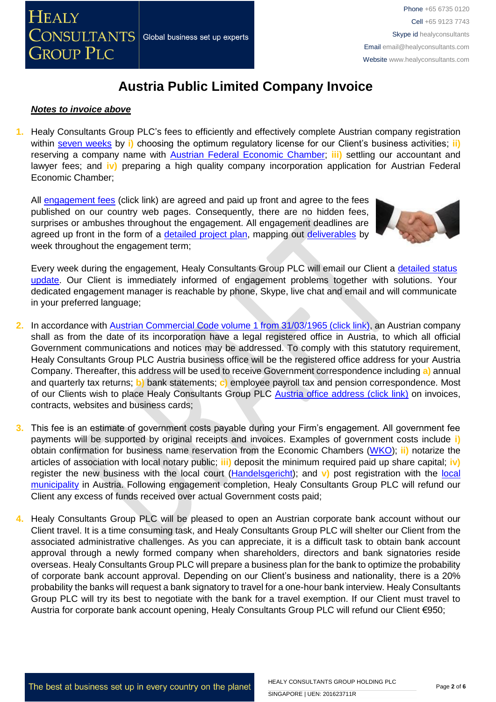

#### *Notes to invoice above*

**1.** Healy Consultants Group PLC's fees to efficiently and effectively complete Austrian company registration within [seven weeks](http://www.healyconsultants.com/austria-company-registration/fees-timelines/#timelines) by **i**) choosing the optimum regulatory license for our Client's business activities; **ii**) reserving a company name with [Austrian Federal Economic Chamber;](http://www.chamber-commerce.net/dir/297/Austrian-Federal-Economic-Chamber-in-Vienna) **iii)** settling our accountant and lawyer fees; and **iv)** preparing a high quality company incorporation application for Austrian Federal Economic Chamber;

All [engagement fees](http://www.healyconsultants.com/company-registration-fees/) (click link) are agreed and paid up front and agree to the fees published on our country web pages. Consequently, there are no hidden fees, surprises or ambushes throughout the engagement. All engagement deadlines are agreed up front in the form of a [detailed project plan,](http://www.healyconsultants.com/index-important-links/example-project-plan/) mapping out [deliverables](http://www.healyconsultants.com/deliverables-to-our-clients/) by week throughout the engagement term;



Every week during the engagement, Healy Consultants Group PLC will email our Client a detailed status [update.](http://www.healyconsultants.com/index-important-links/weekly-engagement-status-email/) Our Client is immediately informed of engagement problems together with solutions. Your dedicated engagement manager is reachable by phone, Skype, live chat and email and will communicate in your preferred language;

- **2.** In accordance with [Austrian Commercial Code volume 1 from 31/03/1965 \(click link\),](http://homepage.uibk.ac.at/~c31229/pdf/oe_aktiengesetz.html) an Austrian company shall as from the date of its incorporation have a legal registered office in Austria, to which all official Government communications and notices may be addressed. To comply with this statutory requirement, Healy Consultants Group PLC Austria business office will be the registered office address for your Austria Company. Thereafter, this address will be used to receive Government correspondence including **a)** annual and quarterly tax returns; **b)** bank statements; **c)** employee payroll tax and pension correspondence. Most of our Clients wish to place Healy Consultants Group PLC [Austria office address \(click link\)](http://www.healyconsultants.com/virtual-office/) on invoices, contracts, websites and business cards;
- **3.** This fee is an estimate of government costs payable during your Firm's engagement. All government fee payments will be supported by original receipts and invoices. Examples of government costs include **i)** obtain confirmation for business name reservation from the Economic Chambers [\(WKO\)](https://www.wko.at/Content.Node/wir/Austrian_Economic_Chambers_Home.html); **ii)** notarize the articles of association with local notary public; **iii)** deposit the minimum required paid up share capital; **iv)** register the new business with the local court [\(Handelsgericht\)](http://www.justiz.gv.at/web2013/html/default/2c9484853f386e94013f57e3f02d0a88.de.html); and v) post registration with the local [municipality](https://www.wien.gv.at/english/) in Austria. Following engagement completion, Healy Consultants Group PLC will refund our Client any excess of funds received over actual Government costs paid;
- **4.** Healy Consultants Group PLC will be pleased to open an Austrian corporate bank account without our Client travel. It is a time consuming task, and Healy Consultants Group PLC will shelter our Client from the associated administrative challenges. As you can appreciate, it is a difficult task to obtain bank account approval through a newly formed company when shareholders, directors and bank signatories reside overseas. Healy Consultants Group PLC will prepare a business plan for the bank to optimize the probability of corporate bank account approval. Depending on our Client's business and nationality, there is a 20% probability the banks will request a bank signatory to travel for a one-hour bank interview. Healy Consultants Group PLC will try its best to negotiate with the bank for a travel exemption. If our Client must travel to Austria for corporate bank account opening, Healy Consultants Group PLC will refund our Client €950;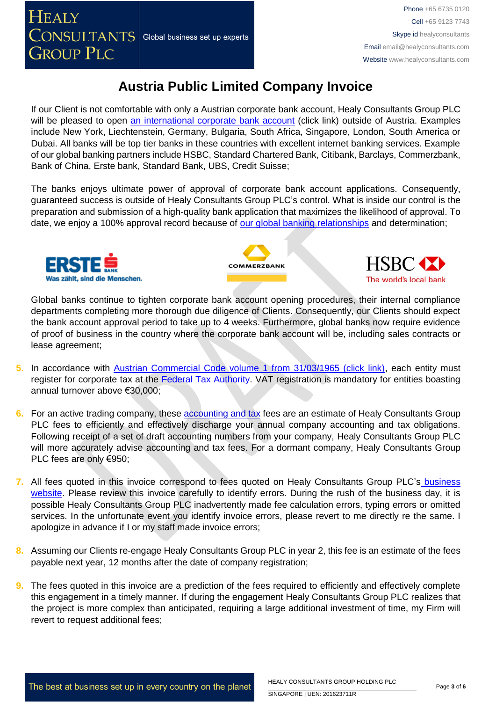If our Client is not comfortable with only a Austrian corporate bank account, Healy Consultants Group PLC will be pleased to open [an international corporate bank account](http://www.healyconsultants.com/international-banking/) (click link) outside of Austria. Examples include New York, Liechtenstein, Germany, Bulgaria, South Africa, Singapore, London, South America or Dubai. All banks will be top tier banks in these countries with excellent internet banking services. Example of our global banking partners include HSBC, Standard Chartered Bank, Citibank, Barclays, Commerzbank, Bank of China, Erste bank, Standard Bank, UBS, Credit Suisse;

The banks enjoys ultimate power of approval of corporate bank account applications. Consequently, guaranteed success is outside of Healy Consultants Group PLC's control. What is inside our control is the preparation and submission of a high-quality bank application that maximizes the likelihood of approval. To date, we enjoy a 100% approval record because of [our global banking relationships](http://www.healyconsultants.com/international-banking/corporate-accounts/) and determination;







Global banks continue to tighten corporate bank account opening procedures, their internal compliance departments completing more thorough due diligence of Clients. Consequently, our Clients should expect the bank account approval period to take up to 4 weeks. Furthermore, global banks now require evidence of proof of business in the country where the corporate bank account will be, including sales contracts or lease agreement;

- **5.** In accordance with [Austrian Commercial Code volume 1 from 31/03/1965 \(click link\),](http://homepage.uibk.ac.at/~c31229/pdf/oe_aktiengesetz.html) each entity must register for corporate tax at the [Federal Tax Authority.](https://english.bmf.gv.at/) VAT registration is mandatory for entities boasting annual turnover above €30,000;
- **6.** For an active trading company, these [accounting and tax](http://www.healyconsultants.com/austria-company-registration/accounting-legal/) fees are an estimate of Healy Consultants Group PLC fees to efficiently and effectively discharge your annual company accounting and tax obligations. Following receipt of a set of draft accounting numbers from your company, Healy Consultants Group PLC will more accurately advise accounting and tax fees. For a dormant company, Healy Consultants Group PLC fees are only €950;
- **7.** All fees quoted in this invoice correspond to fees quoted on Healy Consultants Group PLC's [business](http://www.healyconsultants.com/company-registration-fees/)  [website.](http://www.healyconsultants.com/company-registration-fees/) Please review this invoice carefully to identify errors. During the rush of the business day, it is possible Healy Consultants Group PLC inadvertently made fee calculation errors, typing errors or omitted services. In the unfortunate event you identify invoice errors, please revert to me directly re the same. I apologize in advance if I or my staff made invoice errors;
- **8.** Assuming our Clients re-engage Healy Consultants Group PLC in year 2, this fee is an estimate of the fees payable next year, 12 months after the date of company registration;
- **9.** The fees quoted in this invoice are a prediction of the fees required to efficiently and effectively complete this engagement in a timely manner. If during the engagement Healy Consultants Group PLC realizes that the project is more complex than anticipated, requiring a large additional investment of time, my Firm will revert to request additional fees;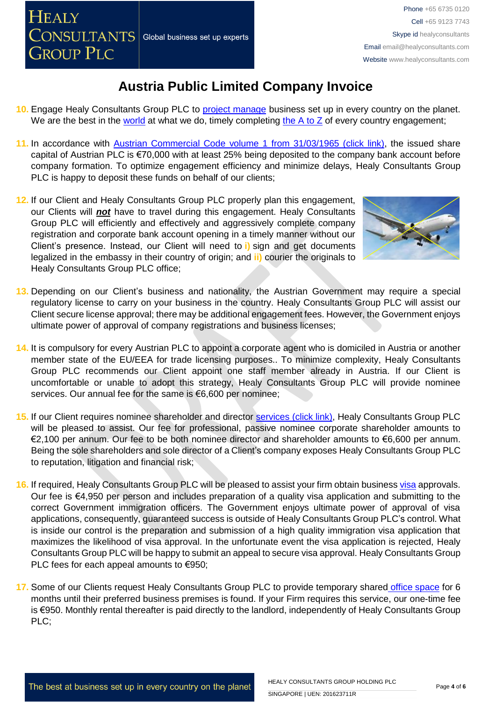- **10.** Engage Healy Consultants Group PLC to [project manage](http://www.healyconsultants.com/project-manage-engagements/) business set up in every country on the planet. We are the best in the [world](http://www.healyconsultants.com/best-in-the-world/) at what we do, timely completing the  $A$  to  $Z$  of every country engagement;
- **11.** In accordance with [Austrian Commercial Code volume 1 from 31/03/1965 \(click link\),](http://homepage.uibk.ac.at/~c31229/pdf/oe_aktiengesetz.html) the issued share capital of Austrian PLC is €70,000 with at least 25% being deposited to the company bank account before company formation. To optimize engagement efficiency and minimize delays, Healy Consultants Group PLC is happy to deposit these funds on behalf of our clients;
- **12.** If our Client and Healy Consultants Group PLC properly plan this engagement, our Clients will *not* have to travel during this engagement. Healy Consultants Group PLC will efficiently and effectively and aggressively complete company registration and corporate bank account opening in a timely manner without our Client's presence. Instead, our Client will need to **i)** sign and get documents legalized in the embassy in their country of origin; and **ii)** courier the originals to Healy Consultants Group PLC office;



- **13.** Depending on our Client's business and nationality, the Austrian Government may require a special regulatory license to carry on your business in the country. Healy Consultants Group PLC will assist our Client secure license approval; there may be additional engagement fees. However, the Government enjoys ultimate power of approval of company registrations and business licenses;
- **14.** It is compulsory for every Austrian PLC to appoint a corporate agent who is domiciled in Austria or another member state of the EU/EEA for trade licensing purposes.. To minimize complexity, Healy Consultants Group PLC recommends our Client appoint one staff member already in Austria. If our Client is uncomfortable or unable to adopt this strategy, Healy Consultants Group PLC will provide nominee services. Our annual fee for the same is €6,600 per nominee;
- **15.** If our Client requires nominee shareholder and director services [\(click link\),](http://www.healyconsultants.com/corporate-outsourcing-services/nominee-shareholders-directors/) Healy Consultants Group PLC will be pleased to assist. Our fee for professional, passive nominee corporate shareholder amounts to €2,100 per annum. Our fee to be both nominee director and shareholder amounts to €6,600 per annum. Being the sole shareholders and sole director of a Client's company exposes Healy Consultants Group PLC to reputation, litigation and financial risk;
- **16.** If required, Healy Consultants Group PLC will be pleased to assist your firm obtain business [visa](http://www.healyconsultants.com/austria-company-registration/formation-support-services/) approvals. Our fee is €4,950 per person and includes preparation of a quality visa application and submitting to the correct Government immigration officers. The Government enjoys ultimate power of approval of visa applications, consequently, guaranteed success is outside of Healy Consultants Group PLC's control. What is inside our control is the preparation and submission of a high quality immigration visa application that maximizes the likelihood of visa approval. In the unfortunate event the visa application is rejected, Healy Consultants Group PLC will be happy to submit an appeal to secure visa approval. Healy Consultants Group PLC fees for each appeal amounts to €950;
- 17. Some of our Clients request Healy Consultants Group PLC to provide temporary shared [office space](http://www.healyconsultants.com/virtual-office/) for 6 months until their preferred business premises is found. If your Firm requires this service, our one-time fee is €950. Monthly rental thereafter is paid directly to the landlord, independently of Healy Consultants Group PLC;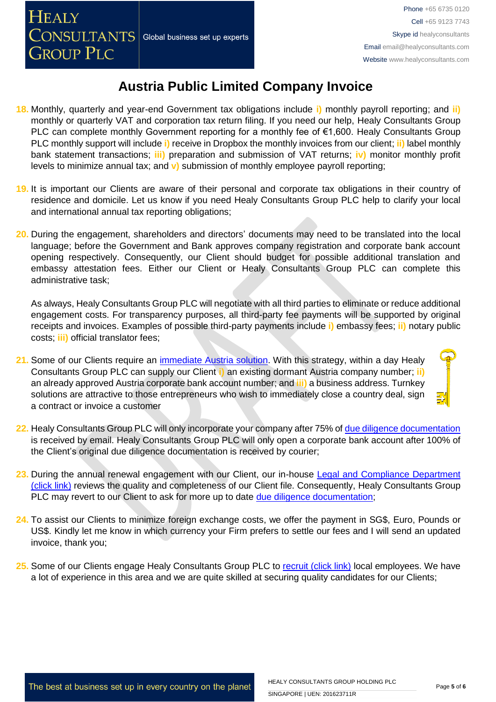- **18.** Monthly, quarterly and year-end Government tax obligations include **i)** monthly payroll reporting; and **ii)** monthly or quarterly VAT and corporation tax return filing. If you need our help, Healy Consultants Group PLC can complete monthly Government reporting for a monthly fee of €1,600. Healy Consultants Group PLC monthly support will include **i)** receive in Dropbox the monthly invoices from our client; **ii)** label monthly bank statement transactions; **iii)** preparation and submission of VAT returns; **iv)** monitor monthly profit levels to minimize annual tax; and **v)** submission of monthly employee payroll reporting;
- **19.** It is important our Clients are aware of their personal and corporate tax obligations in their country of residence and domicile. Let us know if you need Healy Consultants Group PLC help to clarify your local and international annual tax reporting obligations;
- **20.** During the engagement, shareholders and directors' documents may need to be translated into the local language; before the Government and Bank approves company registration and corporate bank account opening respectively. Consequently, our Client should budget for possible additional translation and embassy attestation fees. Either our Client or Healy Consultants Group PLC can complete this administrative task;

As always, Healy Consultants Group PLC will negotiate with all third parties to eliminate or reduce additional engagement costs. For transparency purposes, all third-party fee payments will be supported by original receipts and invoices. Examples of possible third-party payments include **i)** embassy fees; **ii)** notary public costs; **iii)** official translator fees;

- **21.** Some of our Clients require an [immediate Austria solution.](http://www.healyconsultants.com/turnkey-solutions/) With this strategy, within a day Healy Consultants Group PLC can supply our Client **i)** an existing dormant Austria company number; **ii)** an already approved Austria corporate bank account number; and **iii)** a business address. Turnkey solutions are attractive to those entrepreneurs who wish to immediately close a country deal, sign a contract or invoice a customer
- **22.** Healy Consultants Group PLC will only incorporate your company after 75% of [due diligence documentation](http://www.healyconsultants.com/due-diligence/) is received by email. Healy Consultants Group PLC will only open a corporate bank account after 100% of the Client's original due diligence documentation is received by courier;
- **23.** During the annual renewal engagement with our Client, our in-house [Legal and Compliance Department](http://www.healyconsultants.com/about-us/key-personnel/cai-xin-profile/)  [\(click link\)](http://www.healyconsultants.com/about-us/key-personnel/cai-xin-profile/) reviews the quality and completeness of our Client file. Consequently, Healy Consultants Group PLC may revert to our Client to ask for more up to date [due diligence documentation;](http://www.healyconsultants.com/due-diligence/)
- **24.** To assist our Clients to minimize foreign exchange costs, we offer the payment in SG\$, Euro, Pounds or US\$. Kindly let me know in which currency your Firm prefers to settle our fees and I will send an updated invoice, thank you;
- 25. Some of our Clients engage Healy Consultants Group PLC to [recruit \(click link\)](http://www.healyconsultants.com/corporate-outsourcing-services/how-we-help-our-clients-recruit-quality-employees/) local employees. We have a lot of experience in this area and we are quite skilled at securing quality candidates for our Clients;